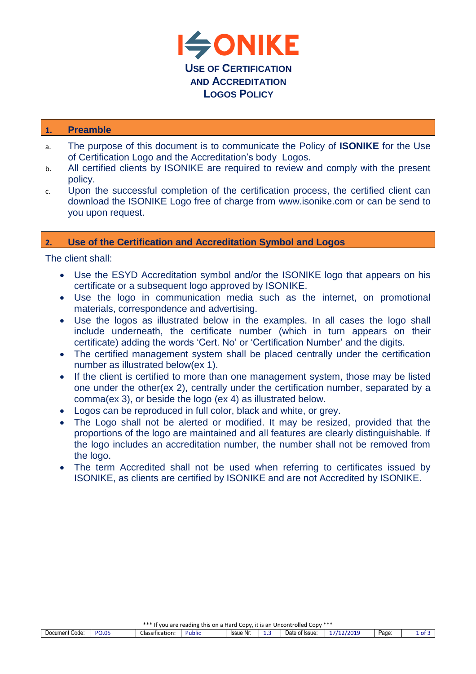

## **1. Preamble**

- a. The purpose of this document is to communicate the Policy of **ISONIKE** for the Use of Certification Logo and the Accreditation's body Logos.
- b. All certified clients by ISONIKE are required to review and comply with the present policy.
- c. Upon the successful completion of the certification process, the certified client can download the ISONIKE Logo free of charge from [www.isonike.com](http://www.isonike.com/) or can be send to you upon request.

## **2. Use of the Certification and Accreditation Symbol and Logos**

The client shall:

- Use the ESYD Accreditation symbol and/or the ISONIKE logo that appears on his certificate or a subsequent logo approved by ISONIKE.
- Use the logo in communication media such as the internet, on promotional materials, correspondence and advertising.
- Use the logos as illustrated below in the examples. In all cases the logo shall include underneath, the certificate number (which in turn appears on their certificate) adding the words 'Cert. No' or 'Certification Number' and the digits.
- The certified management system shall be placed centrally under the certification number as illustrated below(ex 1).
- If the client is certified to more than one management system, those may be listed one under the other(ex 2), centrally under the certification number, separated by a comma(ex 3), or beside the logo (ex 4) as illustrated below.
- Logos can be reproduced in full color, black and white, or grey.
- The Logo shall not be alerted or modified. It may be resized, provided that the proportions of the logo are maintained and all features are clearly distinguishable. If the logo includes an accreditation number, the number shall not be removed from the logo.
- The term Accredited shall not be used when referring to certificates issued by ISONIKE, as clients are certified by ISONIKE and are not Accredited by ISONIKE.

| *** If you are reading this on a Hard Copy, it is an Uncontrolled Copy *** |       |                                    |        |           |    |                |                     |       |        |
|----------------------------------------------------------------------------|-------|------------------------------------|--------|-----------|----|----------------|---------------------|-------|--------|
| $\overline{\phantom{a}}$<br>Document Code:                                 | PO.05 | $\cdot$ $\cdot$<br>Classification: | Public | Issue Nr: | -- | Date of Issue: | 71121020<br>12/2015 | Page: | 1 of 3 |
|                                                                            |       |                                    |        |           |    |                |                     |       |        |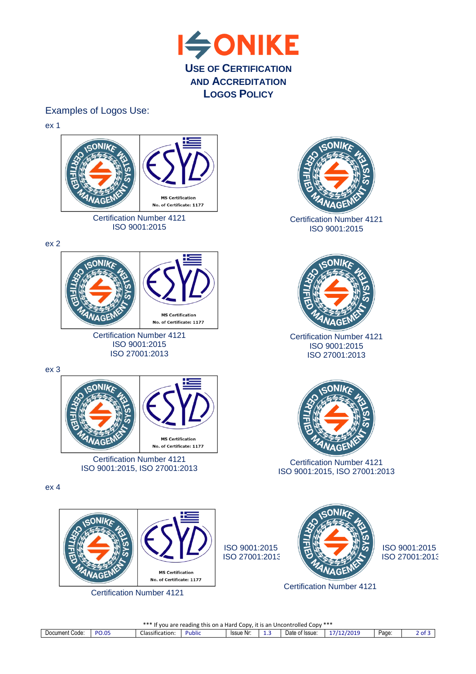

## Examples of Logos Use:

ex 1



\*\*\* If you are reading this on a Hard Copy, it is an Uncontrolled Copy \*\*\*

| ∽<br>Document Code: | <b>DO OT</b><br>- U.U- | Llassification <sup>.</sup> | . .<br><b>Public</b> | Issue Nr: | .<br>-- | -<br>$\cup$ ate<br>of Issue | /2019 | Page: | $\sim$<br>- |
|---------------------|------------------------|-----------------------------|----------------------|-----------|---------|-----------------------------|-------|-------|-------------|
|                     |                        |                             |                      |           |         |                             |       |       |             |